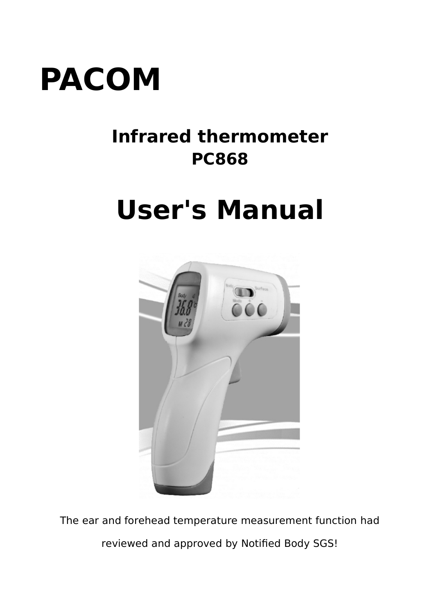

# **Infrared thermometer PC868**

# **User's Manual**



The ear and forehead temperature measurement function had reviewed and approved by Notified Body SGS!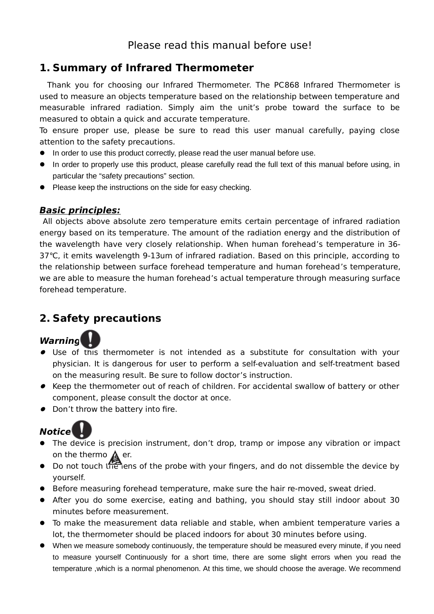# **1. Summary of Infrared Thermometer**

Thank you for choosing our Infrared Thermometer. The PC868 Infrared Thermometer is used to measure an objects temperature based on the relationship between temperature and measurable infrared radiation. Simply aim the unit's probe toward the surface to be measured to obtain a quick and accurate temperature.

To ensure proper use, please be sure to read this user manual carefully, paying close attention to the safety precautions.

- **In order to use this product correctly, please read the user manual before use.**
- In order to properly use this product, please carefully read the full text of this manual before using, in particular the "safety precautions" section.
- Please keep the instructions on the side for easy checking.

#### **Basic principles:**

 All objects above absolute zero temperature emits certain percentage of infrared radiation energy based on its temperature. The amount of the radiation energy and the distribution of the wavelength have very closely relationship. When human forehead's temperature in 36- 37℃, it emits wavelength 9-13um of infrared radiation. Based on this principle, according to the relationship between surface forehead temperature and human forehead's temperature, we are able to measure the human forehead's actual temperature through measuring surface forehead temperature.

# **2. Safety precautions**

# **Warning**

- Use of this thermometer is not intended as a substitute for consultation with your physician. It is dangerous for user to perform a self-evaluation and self-treatment based on the measuring result. Be sure to follow doctor's instruction.
- Keep the thermometer out of reach of children. For accidental swallow of battery or other component, please consult the doctor at once.
- Don't throw the battery into fire.



- The device is precision instrument, don't drop, tramp or impose any vibration or impact on the thermo  $\bigwedge$  er.
- Do not touch the lens of the probe with your fingers, and do not dissemble the device by yourself.
- Before measuring forehead temperature, make sure the hair re-moved, sweat dried.
- After you do some exercise, eating and bathing, you should stay still indoor about 30 minutes before measurement.
- To make the measurement data reliable and stable, when ambient temperature varies a lot, the thermometer should be placed indoors for about 30 minutes before using.
- When we measure somebody continuously, the temperature should be measured every minute, if you need to measure yourself Continuously for a short time, there are some slight errors when you read the temperature ,which is a normal phenomenon. At this time, we should choose the average. We recommend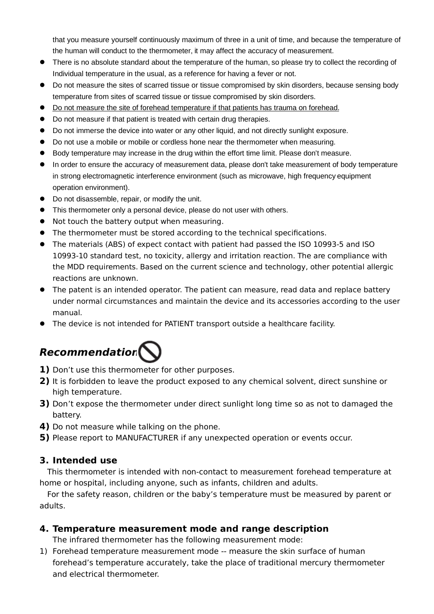that you measure yourself continuously maximum of three in a unit of time, and because the temperature of the human will conduct to the thermometer, it may affect the accuracy of measurement.

- There is no absolute standard about the temperature of the human, so please try to collect the recording of Individual temperature in the usual, as a reference for having a fever or not.
- Do not measure the sites of scarred tissue or tissue compromised by skin disorders, because sensing body temperature from sites of scarred tissue or tissue compromised by skin disorders.
- $\bullet$  Do not measure the site of forehead temperature if that patients has trauma on forehead.
- Do not measure if that patient is treated with certain drug therapies.
- Do not immerse the device into water or any other liquid, and not directly sunlight exposure.
- Do not use a mobile or mobile or cordless hone near the thermometer when measuring.
- Body temperature may increase in the drug within the effort time limit. Please don't measure.
- In order to ensure the accuracy of measurement data, please don't take measurement of body temperature in strong electromagnetic interference environment (such as microwave, high frequency equipment operation environment).
- $\bullet$  Do not disassemble, repair, or modify the unit.
- This thermometer only a personal device, please do not user with others.
- Not touch the battery output when measuring.
- The thermometer must be stored according to the technical specifications.
- The materials (ABS) of expect contact with patient had passed the ISO 10993-5 and ISO 10993-10 standard test, no toxicity, allergy and irritation reaction. The are compliance with the MDD requirements. Based on the current science and technology, other potential allergic reactions are unknown.
- The patent is an intended operator. The patient can measure, read data and replace battery under normal circumstances and maintain the device and its accessories according to the user manual.
- The device is not intended for PATIENT transport outside a healthcare facility.

# **Recommendation**

- **1)** Don't use this thermometer for other purposes.
- **2)** It is forbidden to leave the product exposed to any chemical solvent, direct sunshine or high temperature.
- **3)** Don't expose the thermometer under direct sunlight long time so as not to damaged the battery.
- **4)** Do not measure while talking on the phone.
- **5)** Please report to MANUFACTURER if any unexpected operation or events occur.

#### **3. Intended use**

This thermometer is intended with non-contact to measurement forehead temperature at home or hospital, including anyone, such as infants, children and adults.

For the safety reason, children or the baby's temperature must be measured by parent or adults.

#### **4. Temperature measurement mode and range description**

The infrared thermometer has the following measurement mode:

1) Forehead temperature measurement mode -- measure the skin surface of human forehead's temperature accurately, take the place of traditional mercury thermometer and electrical thermometer.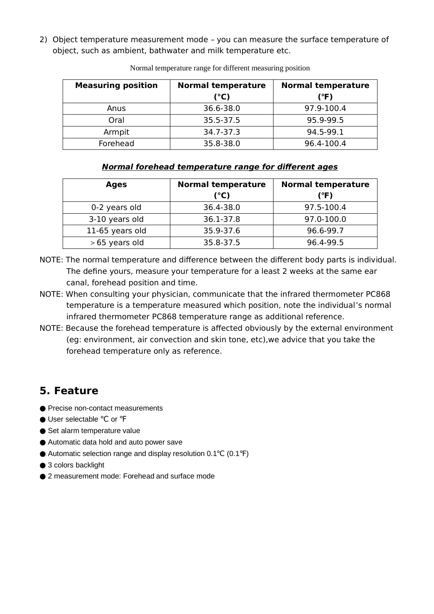2) Object temperature measurement mode – you can measure the surface temperature of object, such as ambient, bathwater and milk temperature etc.

| <b>Measuring position</b> | <b>Normal temperature</b><br>(°C) | <b>Normal temperature</b><br>(°F) |
|---------------------------|-----------------------------------|-----------------------------------|
| Anus                      | 36.6-38.0                         | 97.9-100.4                        |
| Oral                      | 35.5-37.5                         | 95.9-99.5                         |
| Armpit                    | 34.7-37.3                         | 94.5-99.1                         |
| Forehead                  | 35.8-38.0                         | 96.4-100.4                        |

Normal temperature range for different measuring position

#### **Normal forehead temperature range for different ages**

| <b>Ages</b>     | <b>Normal temperature</b><br>(°C) | <b>Normal temperature</b><br>(°F) |
|-----------------|-----------------------------------|-----------------------------------|
| 0-2 years old   | 36.4-38.0                         | 97.5-100.4                        |
| 3-10 years old  | 36.1-37.8                         | 97.0-100.0                        |
| 11-65 years old | 35.9-37.6                         | 96.6-99.7                         |
| >65 years old   | 35.8-37.5                         | 96.4-99.5                         |

- NOTE: The normal temperature and difference between the different body parts is individual. The define yours, measure your temperature for a least 2 weeks at the same ear canal, forehead position and time.
- NOTE: When consulting your physician, communicate that the infrared thermometer PC868 temperature is a temperature measured which position, note the individual's normal infrared thermometer PC868 temperature range as additional reference.
- NOTE: Because the forehead temperature is affected obviously by the external environment (eg: environment, air convection and skin tone, etc),we advice that you take the forehead temperature only as reference.

# **5. Feature**

- Precise non-contact measurements
- User selectable °C or °F
- Set alarm temperature value
- Automatic data hold and auto power save
- Automatic selection range and display resolution 0.1°C (0.1°F)
- 3 colors backlight
- 2 measurement mode: Forehead and surface mode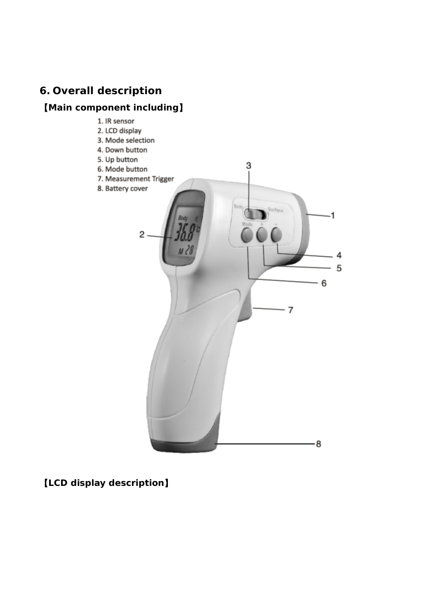# **6. Overall description**

# 【**Main component including**】

1. IR sensor 2. LCD display 3. Mode selection 4. Down button 5. Up button 3 6. Mode button 7. Measurement Trigger 8. Battery cover  $\overline{1}$  $2 \cdot$ 4 5 - 6  $\overline{7}$ 8

【**LCD display description**】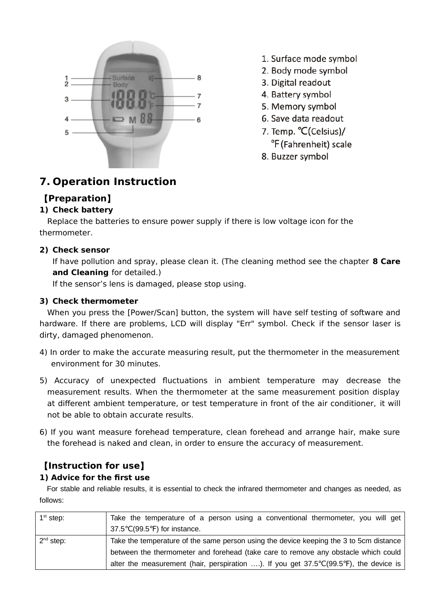

- 1. Surface mode symbol
- 2. Body mode symbol
- 3. Digital readout
- 4. Battery symbol
- 5. Memory symbol
- 6. Save data readout
- 7. Temp. °C(Celsius)/ °F (Fahrenheit) scale
- 8. Buzzer symbol

# **7. Operation Instruction**

# 【**Preparation**】

#### **1) Check battery**

Replace the batteries to ensure power supply if there is low voltage icon for the thermometer.

#### **2) Check sensor**

If have pollution and spray, please clean it. (The cleaning method see the chapter **8 Care and Cleaning** for detailed.)

If the sensor's lens is damaged, please stop using.

#### **3) Check thermometer**

When you press the [Power/Scan] button, the system will have self testing of software and hardware. If there are problems, LCD will display "Err" symbol. Check if the sensor laser is dirty, damaged phenomenon.

- 4) In order to make the accurate measuring result, put the thermometer in the measurement environment for 30 minutes.
- 5) Accuracy of unexpected fluctuations in ambient temperature may decrease the measurement results. When the thermometer at the same measurement position display at different ambient temperature, or test temperature in front of the air conditioner, it will not be able to obtain accurate results.
- 6) If you want measure forehead temperature, clean forehead and arrange hair, make sure the forehead is naked and clean, in order to ensure the accuracy of measurement.

# 【**Instruction for use**】

#### **1) Advice for the first use**

For stable and reliable results, it is essential to check the infrared thermometer and changes as needed, as follows:

| $1st$ step: | Take the temperature of a person using a conventional thermometer, you will get                        |
|-------------|--------------------------------------------------------------------------------------------------------|
|             | 37.5°C(99.5°F) for instance.                                                                           |
| $2nd$ step: | Take the temperature of the same person using the device keeping the 3 to 5cm distance                 |
|             | between the thermometer and forehead (take care to remove any obstacle which could                     |
|             | alter the measurement (hair, perspiration ). If you get $37.5^{\circ}C(99.5^{\circ}F)$ , the device is |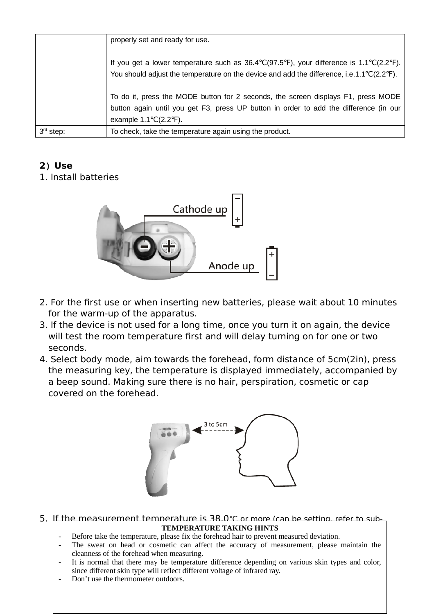|             | properly set and ready for use.                                                                                                                                                                                        |
|-------------|------------------------------------------------------------------------------------------------------------------------------------------------------------------------------------------------------------------------|
|             | If you get a lower temperature such as $36.4^{\circ}C(97.5^{\circ}F)$ , your difference is $1.1^{\circ}C(2.2^{\circ}F)$ .<br>You should adjust the temperature on the device and add the difference, i.e.1.1°C(2.2°F). |
|             | To do it, press the MODE button for 2 seconds, the screen displays F1, press MODE<br>button again until you get F3, press UP button in order to add the difference (in our<br>example $1.1^{\circ}C(2.2^{\circ}F)$ .   |
| $3rd$ step: | To check, take the temperature again using the product.                                                                                                                                                                |

# **2**)**Use**

1. Install batteries



- 2. For the first use or when inserting new batteries, please wait about 10 minutes for the warm-up of the apparatus.
- 3. If the device is not used for a long time, once you turn it on again, the device will test the room temperature first and will delay turning on for one or two seconds.
- 4. Select body mode, aim towards the forehead, form distance of 5cm(2in), press the measuring key, the temperature is displayed immediately, accompanied by a beep sound. Making sure there is no hair, perspiration, cosmetic or cap covered on the forehead.



#### 5. If the measurement temperature is 38.0℃ or more (can be setting, refer to sub-TEMPERATURE TAKING HINTS

- Before take the temperature, please fix the forehead hair to prevent measured deviation.
- The sweat on head or cosmetic can affect the accuracy of measurement, please maintain the cleanness of the forehead when measuring.
- It is normal that there may be temperature difference depending on various skin types and color, since different skin type will reflect different voltage of infrared ray.
- Don't use the thermometer outdoors.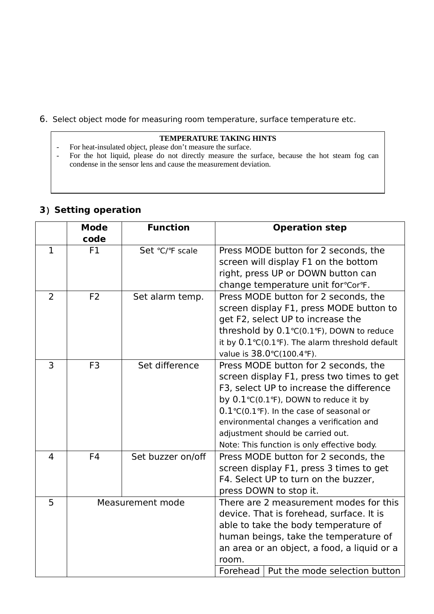6. Select object mode for measuring room temperature, surface temperature etc.

#### **TEMPERATURE TAKING HINTS**

- For heat-insulated object, please don't measure the surface.
- For the hot liquid, please do not directly measure the surface, because the hot steam fog can condense in the sensor lens and cause the measurement deviation.

|                | <b>Mode</b><br>code | <b>Function</b>   | <b>Operation step</b>                                                                                                                                                                                                                                                                                                                                               |
|----------------|---------------------|-------------------|---------------------------------------------------------------------------------------------------------------------------------------------------------------------------------------------------------------------------------------------------------------------------------------------------------------------------------------------------------------------|
| $\mathbf{1}$   | F1                  | Set °C/°F scale   | Press MODE button for 2 seconds, the<br>screen will display F1 on the bottom<br>right, press UP or DOWN button can<br>change temperature unit for°Cor°F.                                                                                                                                                                                                            |
| $\overline{2}$ | F <sub>2</sub>      | Set alarm temp.   | Press MODE button for 2 seconds, the<br>screen display F1, press MODE button to<br>get F2, select UP to increase the<br>threshold by $0.1^{\circ}C(0.1^{\circ}F)$ , DOWN to reduce<br>it by $0.1^{\circ}C(0.1^{\circ}F)$ . The alarm threshold default<br>value is 38.0°C(100.4°F).                                                                                 |
| 3              | F <sub>3</sub>      | Set difference    | Press MODE button for 2 seconds, the<br>screen display F1, press two times to get<br>F3, select UP to increase the difference<br>by 0.1°C(0.1°F), DOWN to reduce it by<br>$0.1^{\circ}C(0.1^{\circ}F)$ . In the case of seasonal or<br>environmental changes a verification and<br>adjustment should be carried out.<br>Note: This function is only effective body. |
| $\overline{4}$ | F <sub>4</sub>      | Set buzzer on/off | Press MODE button for 2 seconds, the<br>screen display F1, press 3 times to get<br>F4. Select UP to turn on the buzzer,<br>press DOWN to stop it.                                                                                                                                                                                                                   |
| 5              |                     | Measurement mode  | There are 2 measurement modes for this<br>device. That is forehead, surface. It is<br>able to take the body temperature of<br>human beings, take the temperature of<br>an area or an object, a food, a liquid or a<br>room.<br>Put the mode selection button<br>Forehead                                                                                            |

#### **3**)**Setting operation**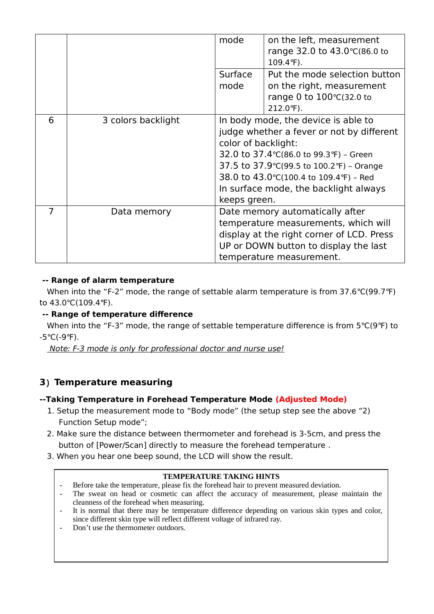|                |                    | mode<br>Surface<br>mode             | on the left, measurement<br>range 32.0 to 43.0 °C(86.0 to<br>$109.4^{\circ}F$ ).<br>Put the mode selection button<br>on the right, measurement<br>range 0 to 100°C(32.0 to                                                                                    |
|----------------|--------------------|-------------------------------------|---------------------------------------------------------------------------------------------------------------------------------------------------------------------------------------------------------------------------------------------------------------|
|                |                    |                                     | 212.0°F).                                                                                                                                                                                                                                                     |
| 6              | 3 colors backlight | color of backlight:<br>keeps green. | In body mode, the device is able to<br>judge whether a fever or not by different<br>32.0 to 37.4 °C(86.0 to 99.3 °F) - Green<br>37.5 to 37.9°C(99.5 to 100.2°F) - Orange<br>38.0 to 43.0 °C(100.4 to 109.4 °F) - Red<br>In surface mode, the backlight always |
| $\overline{7}$ | Data memory        |                                     | Date memory automatically after<br>temperature measurements, which will<br>display at the right corner of LCD. Press<br>UP or DOWN button to display the last<br>temperature measurement.                                                                     |

#### **-- Range of alarm temperature**

 When into the "F-2" mode, the range of settable alarm temperature is from 37.6℃(99.7℉) to 43.0℃(109.4℉).

#### **-- Range of temperature difference**

 When into the "F-3" mode, the range of settable temperature difference is from 5℃(9℉) to -5℃(-9℉).

Note: F-3 mode is only for professional doctor and nurse use!

#### **3**)**Temperature measuring**

#### **--Taking Temperature in Forehead Temperature Mode (Adjusted Mode)**

- 1. Setup the measurement mode to "Body mode" (the setup step see the above "2) Function Setup mode";
- 2. Make sure the distance between thermometer and forehead is 3-5cm, and press the button of [Power/Scan] directly to measure the forehead temperature .
- 3. When you hear one beep sound, the LCD will show the result.

#### **TEMPERATURE TAKING HINTS**

- Before take the temperature, please fix the forehead hair to prevent measured deviation.
- The sweat on head or cosmetic can affect the accuracy of measurement, please maintain the cleanness of the forehead when measuring.
- It is normal that there may be temperature difference depending on various skin types and color, since different skin type will reflect different voltage of infrared ray.
- Don't use the thermometer outdoors.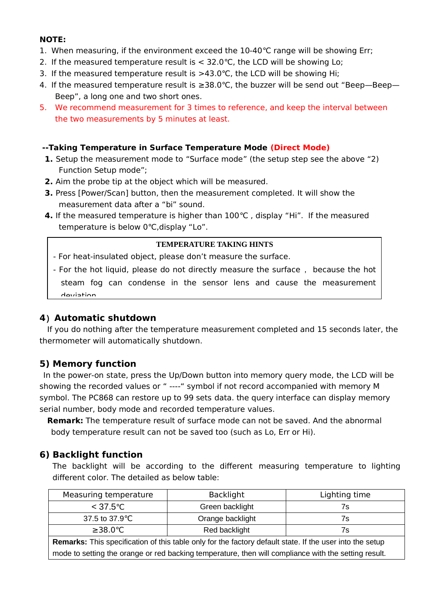#### **NOTE:**

- 1. When measuring, if the environment exceed the 10-40℃ range will be showing Err;
- 2. If the measured temperature result is < 32.0℃, the LCD will be showing Lo;
- 3. If the measured temperature result is >43.0℃, the LCD will be showing Hi;
- 4. If the measured temperature result is ≥38.0℃, the buzzer will be send out "Beep—Beep— Beep", a long one and two short ones.
- 5. We recommend measurement for 3 times to reference, and keep the interval between the two measurements by 5 minutes at least.

#### **--Taking Temperature in Surface Temperature Mode (Direct Mode)**

- **1.** Setup the measurement mode to "Surface mode" (the setup step see the above "2) Function Setup mode";
- **2.** Aim the probe tip at the object which will be measured.
- **3.** Press [Power/Scan] button, then the measurement completed. It will show the measurement data after a "bi" sound.
- **4.** If the measured temperature is higher than 100℃ , display "Hi". If the measured temperature is below 0℃,display "Lo".

#### **TEMPERATURE TAKING HINTS**

- For heat-insulated object, please don't measure the surface.

- For the hot liquid, please do not directly measure the surface, because the hot steam fog can condense in the sensor lens and cause the measurement deviation.

#### **4**)**Automatic shutdown**

If you do nothing after the temperature measurement completed and 15 seconds later, the thermometer will automatically shutdown.

#### **5) Memory function**

In the power-on state, press the Up/Down button into memory query mode, the LCD will be showing the recorded values or " ----" symbol if not record accompanied with memory M symbol. The PC868 can restore up to 99 sets data. the query interface can display memory serial number, body mode and recorded temperature values.

**Remark:** The temperature result of surface mode can not be saved. And the abnormal body temperature result can not be saved too (such as Lo, Err or Hi).

#### **6) Backlight function**

The backlight will be according to the different measuring temperature to lighting different color. The detailed as below table:

| Measuring temperature                                                                                           | <b>Backlight</b> | Lighting time |
|-----------------------------------------------------------------------------------------------------------------|------------------|---------------|
| $<$ 37.5°C                                                                                                      | Green backlight  | 7s            |
| 37.5 to 37.9 °C                                                                                                 | Orange backlight | 7s            |
| $\geq$ 38.0 °C                                                                                                  | Red backlight    | 7s            |
| <b>Remarks:</b> This specification of this table only for the factory default state. If the user into the setup |                  |               |
| mode to setting the orange or red backing temperature, then will compliance with the setting result.            |                  |               |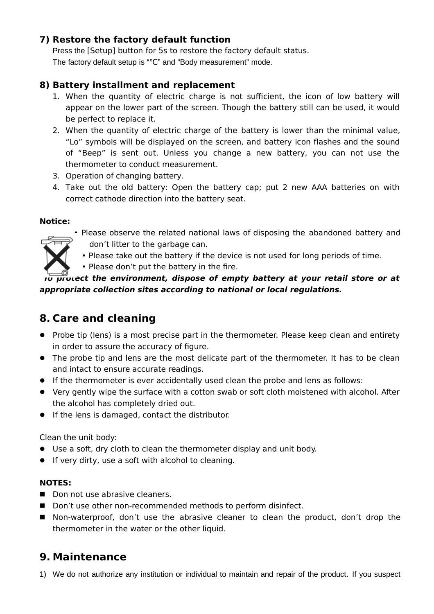#### **7) Restore the factory default function**

Press the [Setup] button for 5s to restore the factory default status. The factory default setup is "℃" and "Body measurement" mode.

#### **8) Battery installment and replacement**

- 1. When the quantity of electric charge is not sufficient, the icon of low battery will appear on the lower part of the screen. Though the battery still can be used, it would be perfect to replace it.
- 2. When the quantity of electric charge of the battery is lower than the minimal value, "Lo" symbols will be displayed on the screen, and battery icon flashes and the sound of "Beep" is sent out. Unless you change a new battery, you can not use the thermometer to conduct measurement.
- 3. Operation of changing battery.
- 4. Take out the old battery: Open the battery cap; put 2 new AAA batteries on with correct cathode direction into the battery seat.

#### **Notice:**

- Please observe the related national laws of disposing the abandoned battery and don't litter to the garbage can.
- Please take out the battery if the device is not used for long periods of time.
- Please don't put the battery in the fire.

#### **To protect the environment, dispose of empty battery at your retail store or at appropriate collection sites according to national or local regulations.**

# **8. Care and cleaning**

- Probe tip (lens) is a most precise part in the thermometer. Please keep clean and entirety in order to assure the accuracy of figure.
- The probe tip and lens are the most delicate part of the thermometer. It has to be clean and intact to ensure accurate readings.
- If the thermometer is ever accidentally used clean the probe and lens as follows:
- Very gently wipe the surface with a cotton swab or soft cloth moistened with alcohol. After the alcohol has completely dried out.
- If the lens is damaged, contact the distributor.

Clean the unit body:

- Use a soft, dry cloth to clean the thermometer display and unit body.
- **If very dirty, use a soft with alcohol to cleaning.**

#### **NOTES:**

- Don not use abrasive cleaners.
- Don't use other non-recommended methods to perform disinfect.
- Non-waterproof, don't use the abrasive cleaner to clean the product, don't drop the thermometer in the water or the other liquid.

# **9. Maintenance**

1) We do not authorize any institution or individual to maintain and repair of the product. If you suspect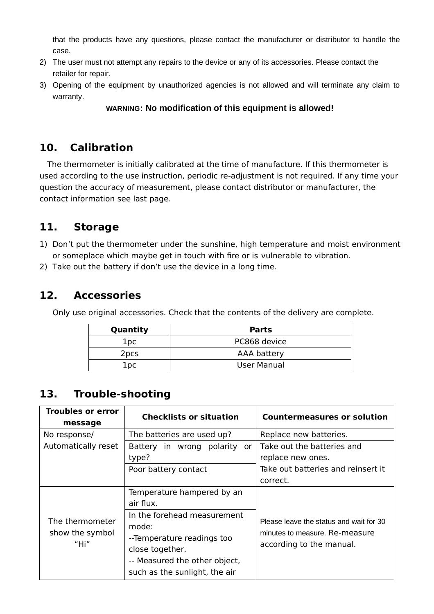that the products have any questions, please contact the manufacturer or distributor to handle the case.

- 2) The user must not attempt any repairs to the device or any of its accessories. Please contact the retailer for repair.
- 3) Opening of the equipment by unauthorized agencies is not allowed and will terminate any claim to warranty.

#### **WARNING: No modification of this equipment is allowed!**

# **10. Calibration**

The thermometer is initially calibrated at the time of manufacture. If this thermometer is used according to the use instruction, periodic re-adjustment is not required. If any time your question the accuracy of measurement, please contact distributor or manufacturer, the contact information see last page.

# **11. Storage**

- 1) Don't put the thermometer under the sunshine, high temperature and moist environment or someplace which maybe get in touch with fire or is vulnerable to vibration.
- 2) Take out the battery if don't use the device in a long time.

# **12. Accessories**

Only use original accessories. Check that the contents of the delivery are complete.

| Quantity         | <b>Parts</b> |
|------------------|--------------|
| lpc              | PC868 device |
| 2 <sub>pcs</sub> | AAA battery  |
| lpc              | User Manual  |

# **13. Trouble-shooting**

| <b>Troubles or error</b><br>message        | <b>Checklists or situation</b>                                                                                                                          | <b>Countermeasures or solution</b>                                                                    |
|--------------------------------------------|---------------------------------------------------------------------------------------------------------------------------------------------------------|-------------------------------------------------------------------------------------------------------|
| No response/                               | The batteries are used up?                                                                                                                              | Replace new batteries.                                                                                |
| Automatically reset                        | Battery in wrong<br>polarity<br>or                                                                                                                      | Take out the batteries and                                                                            |
|                                            | type?                                                                                                                                                   | replace new ones.                                                                                     |
|                                            | Poor battery contact                                                                                                                                    | Take out batteries and reinsert it                                                                    |
|                                            |                                                                                                                                                         | correct.                                                                                              |
|                                            | Temperature hampered by an<br>air flux.                                                                                                                 |                                                                                                       |
| The thermometer<br>show the symbol<br>"Hi" | In the forehead measurement<br>mode:<br>--Temperature readings too<br>close together.<br>-- Measured the other object,<br>such as the sunlight, the air | Please leave the status and wait for 30<br>minutes to measure. Re-measure<br>according to the manual. |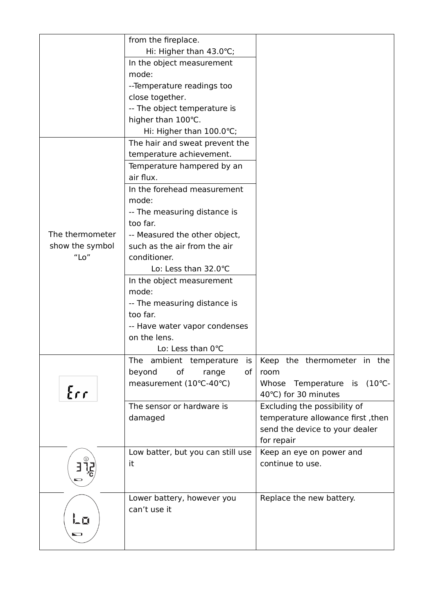|                 | from the fireplace.                        |                                             |
|-----------------|--------------------------------------------|---------------------------------------------|
|                 | Hi: Higher than $43.0^{\circ}$ C;          |                                             |
|                 | In the object measurement                  |                                             |
|                 | mode:                                      |                                             |
|                 | -- Temperature readings too                |                                             |
|                 | close together.                            |                                             |
|                 | -- The object temperature is               |                                             |
|                 | higher than 100°C.                         |                                             |
|                 | Hi: Higher than 100.0°C;                   |                                             |
|                 | The hair and sweat prevent the             |                                             |
|                 | temperature achievement.                   |                                             |
|                 | Temperature hampered by an                 |                                             |
|                 | air flux.                                  |                                             |
|                 | In the forehead measurement                |                                             |
|                 | mode:                                      |                                             |
|                 | -- The measuring distance is               |                                             |
|                 | too far.                                   |                                             |
| The thermometer | -- Measured the other object,              |                                             |
| show the symbol | such as the air from the air               |                                             |
| $"$ Lo $"$      | conditioner.                               |                                             |
|                 | Lo: Less than 32.0°C                       |                                             |
|                 | In the object measurement                  |                                             |
|                 | mode:                                      |                                             |
|                 | -- The measuring distance is               |                                             |
|                 | too far.                                   |                                             |
|                 | -- Have water vapor condenses              |                                             |
|                 | on the lens.                               |                                             |
|                 | Lo: Less than 0°C                          |                                             |
|                 | is<br>The ambient temperature              | Keep the thermometer in the                 |
|                 | оf<br>beyond<br>range<br>оf                | room                                        |
|                 | measurement (10°C-40°C)                    | $(10^{\circ}C -$<br>Whose<br>Temperature is |
| $E$ rr          |                                            | 40°C) for 30 minutes                        |
|                 | The sensor or hardware is                  | Excluding the possibility of                |
|                 | damaged                                    | temperature allowance first, then           |
|                 |                                            | send the device to your dealer              |
|                 |                                            | for repair                                  |
|                 | Low batter, but you can still use          | Keep an eye on power and                    |
|                 | it                                         | continue to use.                            |
|                 |                                            |                                             |
|                 |                                            |                                             |
|                 | Lower battery, however you<br>can't use it | Replace the new battery.                    |
| に口              |                                            |                                             |
|                 |                                            |                                             |
| U               |                                            |                                             |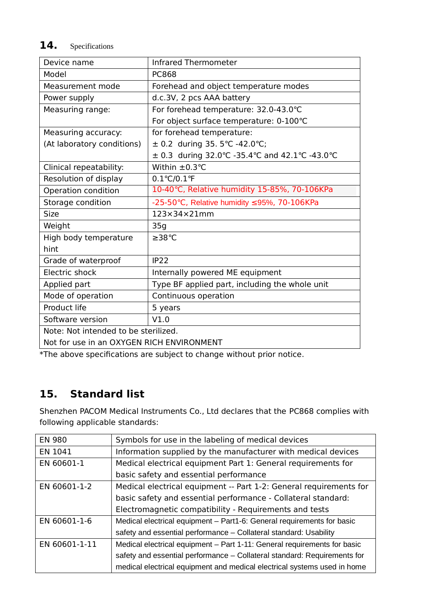# **14.** Specifications

| Device name                               | <b>Infrared Thermometer</b>                          |  |
|-------------------------------------------|------------------------------------------------------|--|
| Model                                     | <b>PC868</b>                                         |  |
| Measurement mode                          | Forehead and object temperature modes                |  |
| Power supply                              | d.c.3V, 2 pcs AAA battery                            |  |
| Measuring range:                          | For forehead temperature: 32.0-43.0°C                |  |
|                                           | For object surface temperature: 0-100°C              |  |
| Measuring accuracy:                       | for forehead temperature:                            |  |
| (At laboratory conditions)                | $\pm$ 0.2 during 35. 5°C -42.0°C;                    |  |
|                                           | ± 0.3 during 32.0 °C - 35.4 °C and 42.1 °C - 43.0 °C |  |
| Clinical repeatability:                   | Within $\pm$ 0.3 $^{\circ}$ C                        |  |
| Resolution of display                     | $0.1^{\circ}C/0.1^{\circ}F$                          |  |
| Operation condition                       | 10-40°C, Relative humidity 15-85%, 70-106KPa         |  |
| Storage condition                         | -25-50°C, Relative humidity ≤95%, 70-106KPa          |  |
| Size                                      | $123\times34\times21$ mm                             |  |
| Weight                                    | 35 <sub>q</sub>                                      |  |
| High body temperature                     | ≥38°C                                                |  |
| hint                                      |                                                      |  |
| Grade of waterproof                       | IP <sub>22</sub>                                     |  |
| Electric shock                            | Internally powered ME equipment                      |  |
| Applied part                              | Type BF applied part, including the whole unit       |  |
| Mode of operation                         | Continuous operation                                 |  |
| Product life                              | 5 years                                              |  |
| Software version                          | V1.0                                                 |  |
| Note: Not intended to be sterilized.      |                                                      |  |
| Not for use in an OXYGEN RICH ENVIRONMENT |                                                      |  |

\*The above specifications are subject to change without prior notice.

# **15. Standard list**

Shenzhen PACOM Medical Instruments Co., Ltd declares that the PC868 complies with following applicable standards:

| <b>EN 980</b> | Symbols for use in the labeling of medical devices                       |
|---------------|--------------------------------------------------------------------------|
| EN 1041       | Information supplied by the manufacturer with medical devices            |
| EN 60601-1    | Medical electrical equipment Part 1: General requirements for            |
|               | basic safety and essential performance                                   |
| EN 60601-1-2  | Medical electrical equipment -- Part 1-2: General requirements for       |
|               | basic safety and essential performance - Collateral standard:            |
|               | Electromagnetic compatibility - Requirements and tests                   |
| EN 60601-1-6  | Medical electrical equipment - Part1-6: General requirements for basic   |
|               | safety and essential performance - Collateral standard: Usability        |
| EN 60601-1-11 | Medical electrical equipment - Part 1-11: General requirements for basic |
|               | safety and essential performance - Collateral standard: Requirements for |
|               | medical electrical equipment and medical electrical systems used in home |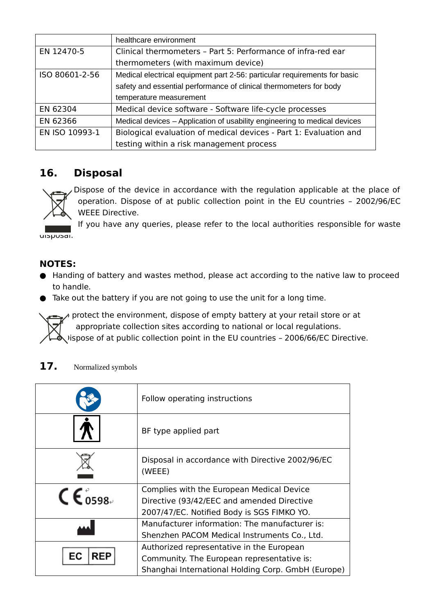|                | healthcare environment                                                    |  |
|----------------|---------------------------------------------------------------------------|--|
| EN 12470-5     | Clinical thermometers - Part 5: Performance of infra-red ear              |  |
|                | thermometers (with maximum device)                                        |  |
| ISO 80601-2-56 | Medical electrical equipment part 2-56: particular requirements for basic |  |
|                | safety and essential performance of clinical thermometers for body        |  |
|                | temperature measurement                                                   |  |
| EN 62304       | Medical device software - Software life-cycle processes                   |  |
| EN 62366       | Medical devices – Application of usability engineering to medical devices |  |
| EN ISO 10993-1 | Biological evaluation of medical devices - Part 1: Evaluation and         |  |
|                | testing within a risk management process                                  |  |

# **16. Disposal**

 Dispose of the device in accordance with the regulation applicable at the place of operation. Dispose of at public collection point in the EU countries – 2002/96/EC WEEE Directive.

If you have any queries, please refer to the local authorities responsible for waste uisposai.

#### **NOTES:**

- Handing of battery and wastes method, please act according to the native law to proceed to handle.
- Take out the battery if you are not going to use the unit for a long time.

 $\lambda$  protect the environment, dispose of empty battery at your retail store or at appropriate collection sites according to national or local regulations.  $\lambda$  ispose of at public collection point in the EU countries - 2006/66/EC Directive.

#### 17. Normalized symbols

|                      | Follow operating instructions                              |
|----------------------|------------------------------------------------------------|
|                      | BF type applied part                                       |
|                      | Disposal in accordance with Directive 2002/96/EC<br>(WEEE) |
|                      | Complies with the European Medical Device                  |
| $\mathsf{CE}_{0598}$ | Directive (93/42/EEC and amended Directive                 |
|                      | 2007/47/EC. Notified Body is SGS FIMKO YO.                 |
|                      | Manufacturer information: The manufacturer is:             |
|                      | Shenzhen PACOM Medical Instruments Co., Ltd.               |
|                      | Authorized representative in the European                  |
| ЕC<br>REP            | Community. The European representative is:                 |
|                      | Shanghai International Holding Corp. GmbH (Europe)         |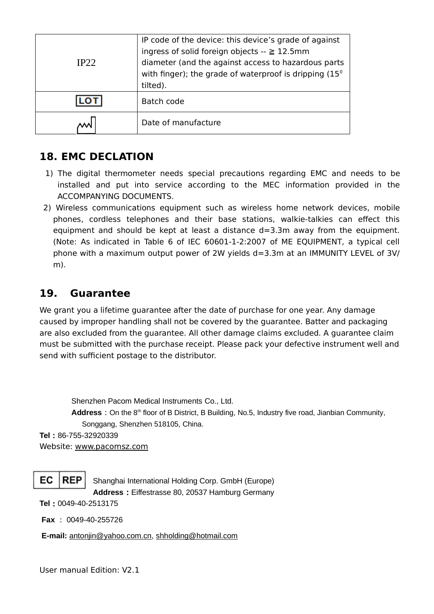| IP22 | IP code of the device: this device's grade of against<br>ingress of solid foreign objects $- \ge 12.5$ mm<br>diameter (and the against access to hazardous parts<br>with finger); the grade of waterproof is dripping $(15^{\circ}$<br>tilted). |
|------|-------------------------------------------------------------------------------------------------------------------------------------------------------------------------------------------------------------------------------------------------|
|      | Batch code                                                                                                                                                                                                                                      |
|      | Date of manufacture                                                                                                                                                                                                                             |

# **18. EMC DECLATION**

- 1) The digital thermometer needs special precautions regarding EMC and needs to be installed and put into service according to the MEC information provided in the ACCOMPANYING DOCUMENTS.
- 2) Wireless communications equipment such as wireless home network devices, mobile phones, cordless telephones and their base stations, walkie-talkies can effect this equipment and should be kept at least a distance  $d=3.3$ m away from the equipment. (Note: As indicated in Table 6 of IEC 60601-1-2:2007 of ME EQUIPMENT, a typical cell phone with a maximum output power of 2W yields d=3.3m at an IMMUNITY LEVEL of 3V/ m).

# **19. Guarantee**

We grant you a lifetime guarantee after the date of purchase for one year. Any damage caused by improper handling shall not be covered by the guarantee. Batter and packaging are also excluded from the guarantee. All other damage claims excluded. A guarantee claim must be submitted with the purchase receipt. Please pack your defective instrument well and send with sufficient postage to the distributor.

Shenzhen Pacom Medical Instruments Co., Ltd. Address: On the 8<sup>th</sup> floor of B District, B Building, No.5, Industry five road, Jianbian Community, Songgang, Shenzhen 518105, China. **Tel**:86-755-32920339

Website: www.pacomsz.com



Shanghai International Holding Corp. GmbH (Europe) Address: Eiffestrasse 80, 20537 Hamburg Germany

**Tel**:0049-40-2513175

**Fax** : 0049-40-255726

**E-mail:** antonjin@yahoo.com.cn, shholding@hotmail.com